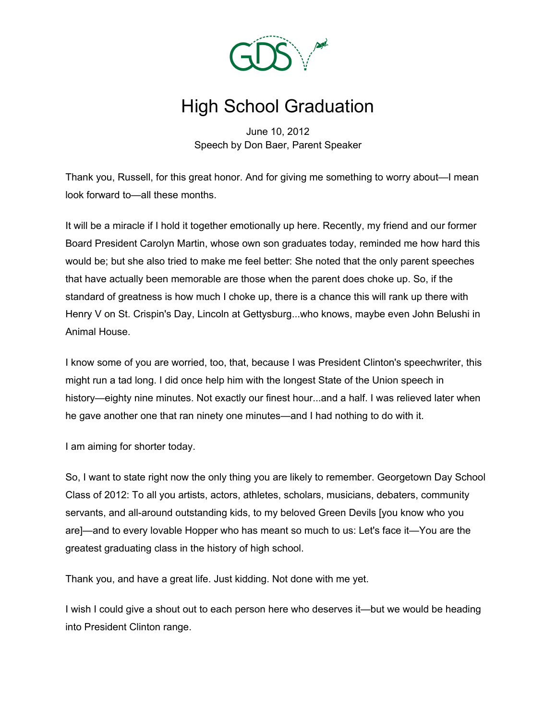

## High School Graduation

June 10, 2012 Speech by Don Baer, Parent Speaker

Thank you, Russell, for this great honor. And for giving me something to worry about—I mean look forward to—all these months.

It will be a miracle if I hold it together emotionally up here. Recently, my friend and our former Board President Carolyn Martin, whose own son graduates today, reminded me how hard this would be; but she also tried to make me feel better: She noted that the only parent speeches that have actually been memorable are those when the parent does choke up. So, if the standard of greatness is how much I choke up, there is a chance this will rank up there with Henry V on St. Crispin's Day, Lincoln at Gettysburg...who knows, maybe even John Belushi in Animal House.

I know some of you are worried, too, that, because I was President Clinton's speechwriter, this might run a tad long. I did once help him with the longest State of the Union speech in history—eighty nine minutes. Not exactly our finest hour...and a half. I was relieved later when he gave another one that ran ninety one minutes—and I had nothing to do with it.

I am aiming for shorter today.

So, I want to state right now the only thing you are likely to remember. Georgetown Day School Class of 2012: To all you artists, actors, athletes, scholars, musicians, debaters, community servants, and all-around outstanding kids, to my beloved Green Devils [you know who you are]—and to every lovable Hopper who has meant so much to us: Let's face it—You are the greatest graduating class in the history of high school.

Thank you, and have a great life. Just kidding. Not done with me yet.

I wish I could give a shout out to each person here who deserves it—but we would be heading into President Clinton range.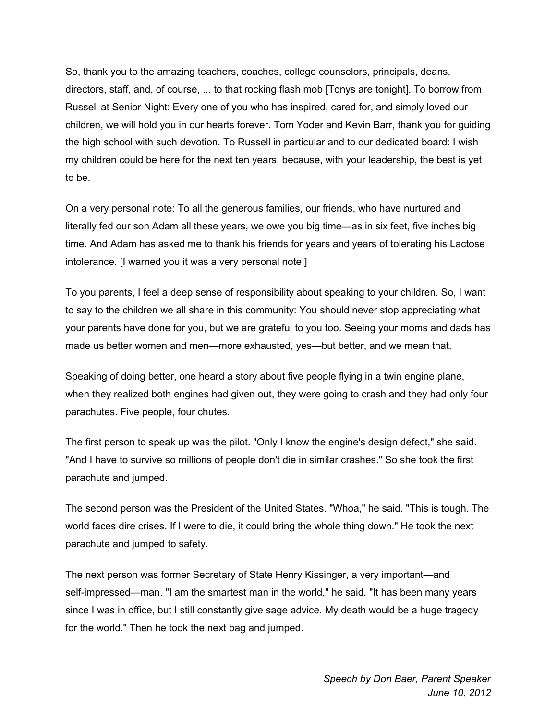So, thank you to the amazing teachers, coaches, college counselors, principals, deans, directors, staff, and, of course, ... to that rocking flash mob [Tonys are tonight]. To borrow from Russell at Senior Night: Every one of you who has inspired, cared for, and simply loved our children, we will hold you in our hearts forever. Tom Yoder and Kevin Barr, thank you for guiding the high school with such devotion. To Russell in particular and to our dedicated board: I wish my children could be here for the next ten years, because, with your leadership, the best is yet to be.

On a very personal note: To all the generous families, our friends, who have nurtured and literally fed our son Adam all these years, we owe you big time—as in six feet, five inches big time. And Adam has asked me to thank his friends for years and years of tolerating his Lactose intolerance. [I warned you it was a very personal note.]

To you parents, I feel a deep sense of responsibility about speaking to your children. So, I want to say to the children we all share in this community: You should never stop appreciating what your parents have done for you, but we are grateful to you too. Seeing your moms and dads has made us better women and men—more exhausted, yes—but better, and we mean that.

Speaking of doing better, one heard a story about five people flying in a twin engine plane, when they realized both engines had given out, they were going to crash and they had only four parachutes. Five people, four chutes.

The first person to speak up was the pilot. "Only I know the engine's design defect," she said. "And I have to survive so millions of people don't die in similar crashes." So she took the first parachute and jumped.

The second person was the President of the United States. "Whoa," he said. "This is tough. The world faces dire crises. If I were to die, it could bring the whole thing down." He took the next parachute and jumped to safety.

The next person was former Secretary of State Henry Kissinger, a very important—and self-impressed—man. "I am the smartest man in the world," he said. "It has been many years since I was in office, but I still constantly give sage advice. My death would be a huge tragedy for the world." Then he took the next bag and jumped.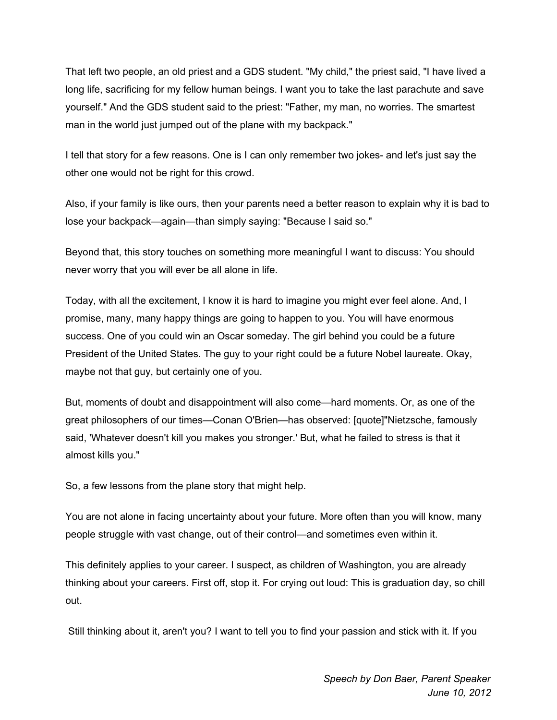That left two people, an old priest and a GDS student. "My child," the priest said, "I have lived a long life, sacrificing for my fellow human beings. I want you to take the last parachute and save yourself." And the GDS student said to the priest: "Father, my man, no worries. The smartest man in the world just jumped out of the plane with my backpack."

I tell that story for a few reasons. One is I can only remember two jokes- and let's just say the other one would not be right for this crowd.

Also, if your family is like ours, then your parents need a better reason to explain why it is bad to lose your backpack—again—than simply saying: "Because I said so."

Beyond that, this story touches on something more meaningful I want to discuss: You should never worry that you will ever be all alone in life.

Today, with all the excitement, I know it is hard to imagine you might ever feel alone. And, I promise, many, many happy things are going to happen to you. You will have enormous success. One of you could win an Oscar someday. The girl behind you could be a future President of the United States. The guy to your right could be a future Nobel laureate. Okay, maybe not that guy, but certainly one of you.

But, moments of doubt and disappointment will also come—hard moments. Or, as one of the great philosophers of our times—Conan O'Brien—has observed: [quote]"Nietzsche, famously said, 'Whatever doesn't kill you makes you stronger.' But, what he failed to stress is that it almost kills you."

So, a few lessons from the plane story that might help.

You are not alone in facing uncertainty about your future. More often than you will know, many people struggle with vast change, out of their control—and sometimes even within it.

This definitely applies to your career. I suspect, as children of Washington, you are already thinking about your careers. First off, stop it. For crying out loud: This is graduation day, so chill out.

Still thinking about it, aren't you? I want to tell you to find your passion and stick with it. If you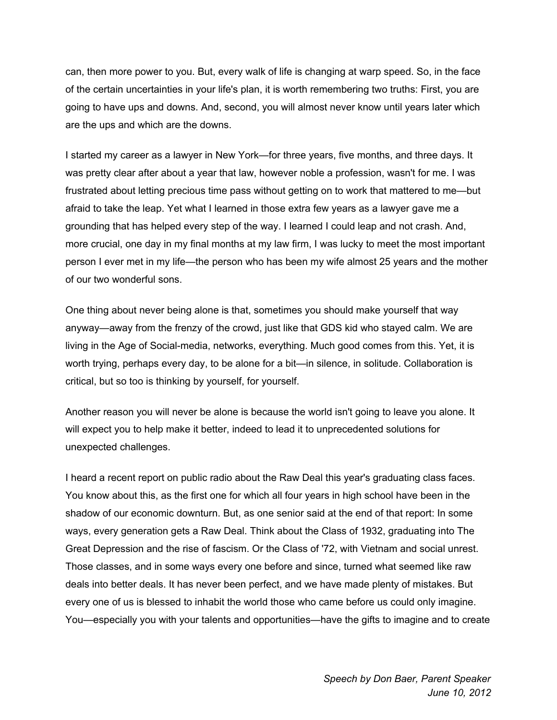can, then more power to you. But, every walk of life is changing at warp speed. So, in the face of the certain uncertainties in your life's plan, it is worth remembering two truths: First, you are going to have ups and downs. And, second, you will almost never know until years later which are the ups and which are the downs.

I started my career as a lawyer in New York—for three years, five months, and three days. It was pretty clear after about a year that law, however noble a profession, wasn't for me. I was frustrated about letting precious time pass without getting on to work that mattered to me—but afraid to take the leap. Yet what I learned in those extra few years as a lawyer gave me a grounding that has helped every step of the way. I learned I could leap and not crash. And, more crucial, one day in my final months at my law firm, I was lucky to meet the most important person I ever met in my life—the person who has been my wife almost 25 years and the mother of our two wonderful sons.

One thing about never being alone is that, sometimes you should make yourself that way anyway—away from the frenzy of the crowd, just like that GDS kid who stayed calm. We are living in the Age of Social-media, networks, everything. Much good comes from this. Yet, it is worth trying, perhaps every day, to be alone for a bit—in silence, in solitude. Collaboration is critical, but so too is thinking by yourself, for yourself.

Another reason you will never be alone is because the world isn't going to leave you alone. It will expect you to help make it better, indeed to lead it to unprecedented solutions for unexpected challenges.

I heard a recent report on public radio about the Raw Deal this year's graduating class faces. You know about this, as the first one for which all four years in high school have been in the shadow of our economic downturn. But, as one senior said at the end of that report: In some ways, every generation gets a Raw Deal. Think about the Class of 1932, graduating into The Great Depression and the rise of fascism. Or the Class of '72, with Vietnam and social unrest. Those classes, and in some ways every one before and since, turned what seemed like raw deals into better deals. It has never been perfect, and we have made plenty of mistakes. But every one of us is blessed to inhabit the world those who came before us could only imagine. You—especially you with your talents and opportunities—have the gifts to imagine and to create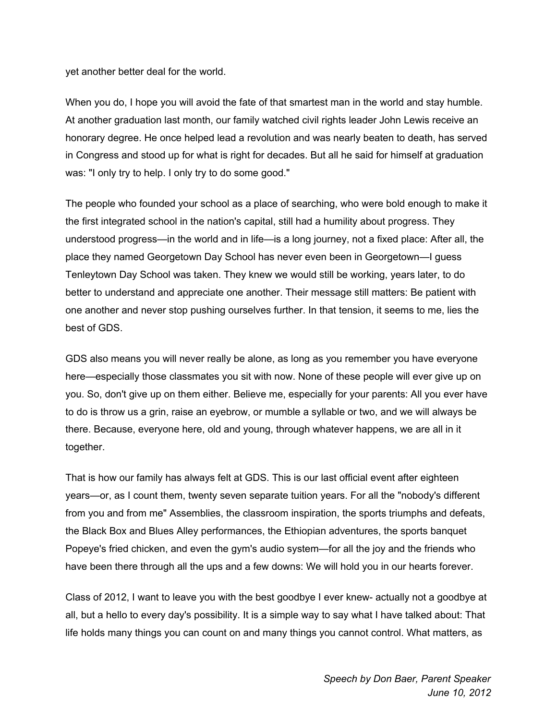yet another better deal for the world.

When you do, I hope you will avoid the fate of that smartest man in the world and stay humble. At another graduation last month, our family watched civil rights leader John Lewis receive an honorary degree. He once helped lead a revolution and was nearly beaten to death, has served in Congress and stood up for what is right for decades. But all he said for himself at graduation was: "I only try to help. I only try to do some good."

The people who founded your school as a place of searching, who were bold enough to make it the first integrated school in the nation's capital, still had a humility about progress. They understood progress—in the world and in life—is a long journey, not a fixed place: After all, the place they named Georgetown Day School has never even been in Georgetown—I guess Tenleytown Day School was taken. They knew we would still be working, years later, to do better to understand and appreciate one another. Their message still matters: Be patient with one another and never stop pushing ourselves further. In that tension, it seems to me, lies the best of GDS.

GDS also means you will never really be alone, as long as you remember you have everyone here—especially those classmates you sit with now. None of these people will ever give up on you. So, don't give up on them either. Believe me, especially for your parents: All you ever have to do is throw us a grin, raise an eyebrow, or mumble a syllable or two, and we will always be there. Because, everyone here, old and young, through whatever happens, we are all in it together.

That is how our family has always felt at GDS. This is our last official event after eighteen years—or, as I count them, twenty seven separate tuition years. For all the "nobody's different from you and from me" Assemblies, the classroom inspiration, the sports triumphs and defeats, the Black Box and Blues Alley performances, the Ethiopian adventures, the sports banquet Popeye's fried chicken, and even the gym's audio system—for all the joy and the friends who have been there through all the ups and a few downs: We will hold you in our hearts forever.

Class of 2012, I want to leave you with the best goodbye I ever knew- actually not a goodbye at all, but a hello to every day's possibility. It is a simple way to say what I have talked about: That life holds many things you can count on and many things you cannot control. What matters, as